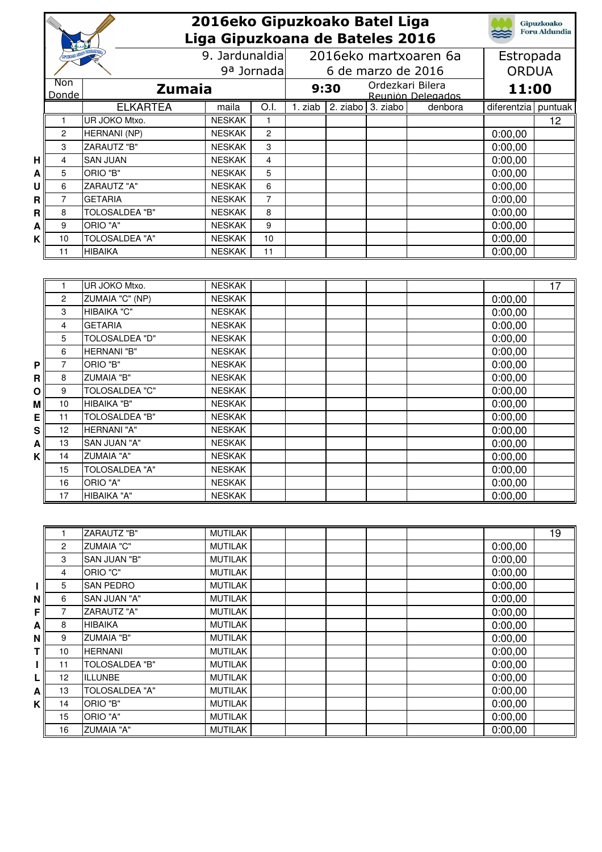|              |                | 2016eko Gipuzkoako Batel Liga<br>Liga Gipuzkoana de Bateles 2016 |                 |                         |                    |                                        |                  |                   |                           | <b>Gipuzkoako</b><br><b>Foru Aldundia</b> |
|--------------|----------------|------------------------------------------------------------------|-----------------|-------------------------|--------------------|----------------------------------------|------------------|-------------------|---------------------------|-------------------------------------------|
|              |                |                                                                  |                 | 9. Jardunaldia          |                    | 2016eko martxoaren 6a                  |                  |                   |                           |                                           |
|              |                | 9 <sup>a</sup> Jornada                                           |                 |                         | 6 de marzo de 2016 |                                        |                  |                   | Estropada<br><b>ORDUA</b> |                                           |
|              | Non            |                                                                  |                 |                         |                    |                                        | Ordezkari Bilera |                   |                           |                                           |
|              | Donde          |                                                                  | <b>Zumaia</b>   |                         | 9:30               |                                        |                  | Reunión Delegados | 11:00                     |                                           |
|              |                | <b>ELKARTEA</b>                                                  | maila           | O.I.                    |                    | $\overline{1. ziab}$ 2. ziabo 3. ziabo |                  | denbora           | diferentzia puntuak       |                                           |
|              | 1              | UR JOKO Mtxo.                                                    | <b>NESKAK</b>   | $\mathbf{1}$            |                    |                                        |                  |                   |                           | $\overline{12}$                           |
|              | 2              | HERNANI (NP)                                                     | <b>NESKAK</b>   | $\overline{c}$          |                    |                                        |                  |                   | 0:00,00                   |                                           |
|              | 3              | ZARAUTZ "B"                                                      | <b>NESKAK</b>   | 3                       |                    |                                        |                  |                   | 0:00,00                   |                                           |
| н            | 4              | <b>SAN JUAN</b>                                                  | <b>NESKAK</b>   | $\overline{\mathbf{4}}$ |                    |                                        |                  |                   | 0:00,00                   |                                           |
| A            | 5              | ORIO "B"                                                         | <b>NESKAK</b>   | 5                       |                    |                                        |                  |                   | 0:00,00                   |                                           |
| U            | 6              | ZARAUTZ "A"                                                      | <b>NESKAK</b>   | 6                       |                    |                                        |                  |                   | 0:00,00                   |                                           |
| R            | $\overline{7}$ | <b>GETARIA</b>                                                   | <b>NESKAK</b>   | $\overline{7}$          |                    |                                        |                  |                   | 0:00,00                   |                                           |
| R            | 8              | <b>TOLOSALDEA "B"</b>                                            | <b>NESKAK</b>   | 8                       |                    |                                        |                  |                   | 0:00,00                   |                                           |
| A            | 9              | ORIO "A"                                                         | <b>NESKAK</b>   | 9                       |                    |                                        |                  |                   | 0:00,00                   |                                           |
| K            | 10             | <b>TOLOSALDEA "A"</b>                                            | <b>NESKAK</b>   | 10                      |                    |                                        |                  |                   | 0:00,00                   |                                           |
|              | 11             | <b>HIBAIKA</b>                                                   | <b>NESKAK</b>   | 11                      |                    |                                        |                  |                   | 0:00.00                   |                                           |
|              |                |                                                                  |                 |                         |                    |                                        |                  |                   |                           |                                           |
|              |                |                                                                  | <b>NESKAK</b>   |                         |                    |                                        |                  |                   |                           |                                           |
|              | 1<br>2         | UR JOKO Mtxo.<br>ZUMAIA "C" (NP)                                 | <b>NESKAK</b>   |                         |                    |                                        |                  |                   |                           | 17                                        |
|              |                | HIBAIKA "C"                                                      | <b>NESKAK</b>   |                         |                    |                                        |                  |                   | 0:00,00                   |                                           |
|              | 3              | <b>GETARIA</b>                                                   | <b>NESKAK</b>   |                         |                    |                                        |                  |                   | 0:00,00                   |                                           |
|              | 4<br>5         | <b>TOLOSALDEA "D"</b>                                            | <b>NESKAK</b>   |                         |                    |                                        |                  |                   | 0:00,00                   |                                           |
|              | 6              | <b>HERNANI "B"</b>                                               | <b>NESKAK</b>   |                         |                    |                                        |                  |                   | 0:00,00                   |                                           |
| P            | 7              | ORIO "B"                                                         | <b>NESKAK</b>   |                         |                    |                                        |                  |                   | 0:00,00<br>0:00,00        |                                           |
| $\mathbf{R}$ | 8              | <b>ZUMAIA "B"</b>                                                | <b>NESKAK</b>   |                         |                    |                                        |                  |                   | 0:00,00                   |                                           |
| Ο            | 9              | <b>TOLOSALDEA "C"</b>                                            | <b>NESKAK</b>   |                         |                    |                                        |                  |                   | 0:00,00                   |                                           |
| M            | 10             | HIBAIKA "B"                                                      | <b>NESKAK</b>   |                         |                    |                                        |                  |                   | 0:00,00                   |                                           |
| E            | 11             | <b>TOLOSALDEA "B"</b>                                            | <b>NESKAK</b>   |                         |                    |                                        |                  |                   | 0:00,00                   |                                           |
| S            | 12             | HERNANI "A"                                                      | <b>NESKAK</b>   |                         |                    |                                        |                  |                   | 0:00,00                   |                                           |
| A            | 13             | SAN JUAN "A"                                                     | <b>NESKAK</b>   |                         |                    |                                        |                  |                   | 0:00,00                   |                                           |
| κI           | 14             | <b>ZUMAIA "A"</b>                                                | <b>NESKAK</b>   |                         |                    |                                        |                  |                   | 0:00,00                   |                                           |
|              | 15             | <b>TOLOSALDEA "A"</b>                                            | <b>NESKAK</b>   |                         |                    |                                        |                  |                   | 0:00,00                   |                                           |
|              | 16             | ORIO "A"                                                         | <b>NESKAK</b>   |                         |                    |                                        |                  |                   | 0:00,00                   |                                           |
|              | 17             | HIBAIKA "A"                                                      | <b>NESKAK</b>   |                         |                    |                                        |                  |                   | 0:00,00                   |                                           |
|              |                |                                                                  |                 |                         |                    |                                        |                  |                   |                           |                                           |
|              |                |                                                                  |                 |                         |                    |                                        |                  |                   |                           |                                           |
|              | 1              | ZARAUTZ "B"                                                      | <b>MUTILAK</b>  |                         |                    |                                        |                  |                   |                           | 19                                        |
|              | $\overline{c}$ | <b>ZUMAIA "C"</b>                                                | <b>MUTILAK</b>  |                         |                    |                                        |                  |                   | 0:00,00                   |                                           |
|              | 3              | SAN JUAN "B"                                                     | <b>MUTILAK</b>  |                         |                    |                                        |                  |                   | 0:00,00                   |                                           |
|              | 4              | ORIO "C"                                                         | <b>MUTILAK</b>  |                         |                    |                                        |                  |                   | 0:00,00                   |                                           |
| L            | 5              | SAN PEDRO                                                        | <b>MUTILAK</b>  |                         |                    |                                        |                  |                   | 0:00,00                   |                                           |
| N            | 6              | SAN JUAN "A"                                                     | <b>MUTILAK</b>  |                         |                    |                                        |                  |                   | 0:00,00                   |                                           |
| Fİ           | 7              | <b>ZARAUTZ "A"</b>                                               | <b>MUTILAK</b>  |                         |                    |                                        |                  |                   | 0:00,00                   |                                           |
|              | $\mathbf{a}$   | <b>HIRAIKA</b>                                                   | <b>MLITILAK</b> |                         |                    |                                        |                  |                   | 0.00, 00                  |                                           |

|    | ັ  | ש ווי <i>ט</i> ט ווי ש | ייים וישואו    |  | v.vv.vv |
|----|----|------------------------|----------------|--|---------|
|    | 4  | ORIO "C"               | <b>MUTILAK</b> |  | 0:00,00 |
|    | 5  | <b>SAN PEDRO</b>       | <b>MUTILAK</b> |  | 0:00,00 |
| Νl | 6  | SAN JUAN "A"           | <b>MUTILAK</b> |  | 0:00,00 |
| Fl |    | ZARAUTZ "A"            | <b>MUTILAK</b> |  | 0:00,00 |
| Αl | 8  | <b>HIBAIKA</b>         | <b>MUTILAK</b> |  | 0:00,00 |
| Νl | 9  | <b>ZUMAIA "B"</b>      | <b>MUTILAK</b> |  | 0:00,00 |
| Τh | 10 | <b>HERNANI</b>         | <b>MUTILAK</b> |  | 0:00,00 |
|    | 11 | TOLOSALDEA "B"         | <b>MUTILAK</b> |  | 0:00,00 |
| LI | 12 | <b>ILLUNBE</b>         | <b>MUTILAK</b> |  | 0:00,00 |
| Αl | 13 | <b>TOLOSALDEA "A"</b>  | <b>MUTILAK</b> |  | 0:00,00 |
| κI | 14 | ORIO "B"               | <b>MUTILAK</b> |  | 0:00,00 |
|    | 15 | ORIO "A"               | <b>MUTILAK</b> |  | 0:00,00 |
|    | 16 | <b>ZUMAIA "A"</b>      | <b>MUTILAK</b> |  | 0:00,00 |